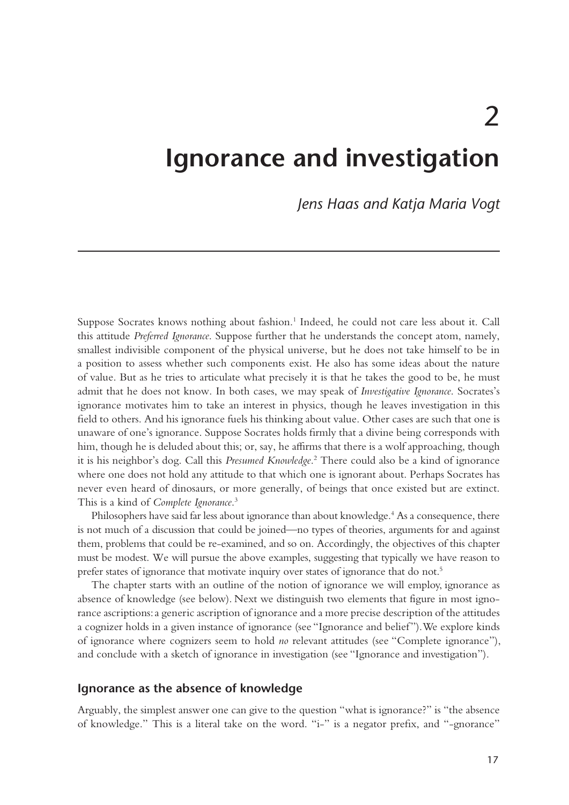# <span id="page-0-0"></span>**Ignorance and investigation**

*Jens Haas and Katja Maria Vogt*

Suppose Socrates knows nothing about fashion.<sup>1</sup> Indeed, he could not care less about it. Call this attitude *Preferred Ignorance*. Suppose further that he understands the concept atom, namely, smallest indivisible component of the physical universe, but he does not take himself to be in a position to assess whether such components exist. He also has some ideas about the nature of value. But as he tries to articulate what precisely it is that he takes the good to be, he must admit that he does not know. In both cases, we may speak of *Investigative Ignorance*. Socrates's ignorance motivates him to take an interest in physics, though he leaves investigation in this field to others. And his ignorance fuels his thinking about value. Other cases are such that one is unaware of one's ignorance. Suppose Socrates holds firmly that a divine being corresponds with him, though he is deluded about this; or, say, he affirms that there is a wolf approaching, though it is his neighbor's dog. Call this *Presumed Knowledge*. [2](#page-7-0) There could also be a kind of ignorance where one does not hold any attitude to that which one is ignorant about. Perhaps Socrates has never even heard of dinosaurs, or more generally, of beings that once existed but are extinct. This is a kind of *Complete Ignorance*. [3](#page-7-0)

Philosophers have said far less about ignorance than about knowledge.<sup>4</sup> As a consequence, there is not much of a discussion that could be joined—no types of theories, arguments for and against them, problems that could be re-examined, and so on. Accordingly, the objectives of this chapter must be modest. We will pursue the above examples, suggesting that typically we have reason to prefer states of ignorance that motivate inquiry over states of ignorance that do not.<sup>5</sup>

The chapter starts with an outline of the notion of ignorance we will employ, ignorance as absence of knowledge (see below). Next we distinguish two elements that figure in most ignorance ascriptions: a generic ascription of ignorance and a more precise description of the attitudes a cognizer holds in a given instance of ignorance (see "Ignorance and belief"). We explore kinds of ignorance where cognizers seem to hold *no* relevant attitudes (see "Complete ignorance"), and conclude with a sketch of ignorance in investigation (see "Ignorance and investigation").

## **Ignorance as the absence of knowledge**

Arguably, the simplest answer one can give to the question "what is ignorance?" is "the absence of knowledge." This is a literal take on the word. "i-" is a negator prefix, and "-gnorance"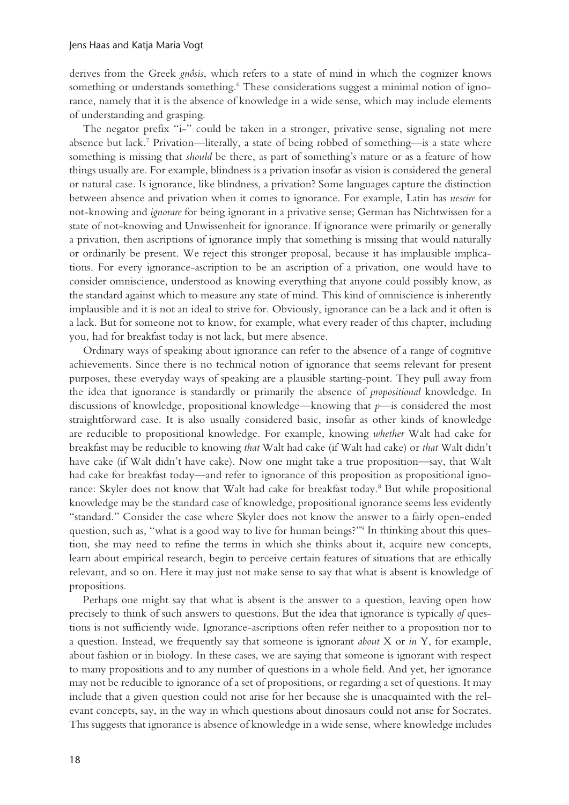<span id="page-1-0"></span>derives from the Greek *gnôsis*, which refers to a state of mind in which the cognizer knows something or understands something.<sup>6</sup> These considerations suggest a minimal notion of ignorance, namely that it is the absence of knowledge in a wide sense, which may include elements of understanding and grasping.

The negator prefix "i-" could be taken in a stronger, privative sense, signaling not mere absence but lack[.7](#page-7-0) Privation—literally, a state of being robbed of something—is a state where something is missing that *should* be there, as part of something's nature or as a feature of how things usually are. For example, blindness is a privation insofar as vision is considered the general or natural case. Is ignorance, like blindness, a privation? Some languages capture the distinction between absence and privation when it comes to ignorance. For example, Latin has *nescire* for not-knowing and *ignorare* for being ignorant in a privative sense; German has Nichtwissen for a state of not-knowing and Unwissenheit for ignorance. If ignorance were primarily or generally a privation, then ascriptions of ignorance imply that something is missing that would naturally or ordinarily be present. We reject this stronger proposal, because it has implausible implications. For every ignorance-ascription to be an ascription of a privation, one would have to consider omniscience, understood as knowing everything that anyone could possibly know, as the standard against which to measure any state of mind. This kind of omniscience is inherently implausible and it is not an ideal to strive for. Obviously, ignorance can be a lack and it often is a lack. But for someone not to know, for example, what every reader of this chapter, including you, had for breakfast today is not lack, but mere absence.

Ordinary ways of speaking about ignorance can refer to the absence of a range of cognitive achievements. Since there is no technical notion of ignorance that seems relevant for present purposes, these everyday ways of speaking are a plausible starting-point. They pull away from the idea that ignorance is standardly or primarily the absence of *propositional* knowledge. In discussions of knowledge, propositional knowledge—knowing that *p*—is considered the most straightforward case. It is also usually considered basic, insofar as other kinds of knowledge are reducible to propositional knowledge. For example, knowing *whether* Walt had cake for breakfast may be reducible to knowing *that* Walt had cake (if Walt had cake) or *that* Walt didn't have cake (if Walt didn't have cake). Now one might take a true proposition—say, that Walt had cake for breakfast today—and refer to ignorance of this proposition as propositional ignorance: Skyler does not know that Walt had cake for breakfast today.<sup>8</sup> But while propositional knowledge may be the standard case of knowledge, propositional ignorance seems less evidently "standard." Consider the case where Skyler does not know the answer to a fairly open-ended question, such as, "what is a good way to live for human beings?"<sup>9</sup> In thinking about this question, she may need to refine the terms in which she thinks about it, acquire new concepts, learn about empirical research, begin to perceive certain features of situations that are ethically relevant, and so on. Here it may just not make sense to say that what is absent is knowledge of propositions.

Perhaps one might say that what is absent is the answer to a question, leaving open how precisely to think of such answers to questions. But the idea that ignorance is typically *of* questions is not sufficiently wide. Ignorance-ascriptions often refer neither to a proposition nor to a question. Instead, we frequently say that someone is ignorant *about* X or *in* Y, for example, about fashion or in biology. In these cases, we are saying that someone is ignorant with respect to many propositions and to any number of questions in a whole field. And yet, her ignorance may not be reducible to ignorance of a set of propositions, or regarding a set of questions. It may include that a given question could not arise for her because she is unacquainted with the relevant concepts, say, in the way in which questions about dinosaurs could not arise for Socrates. This suggests that ignorance is absence of knowledge in a wide sense, where knowledge includes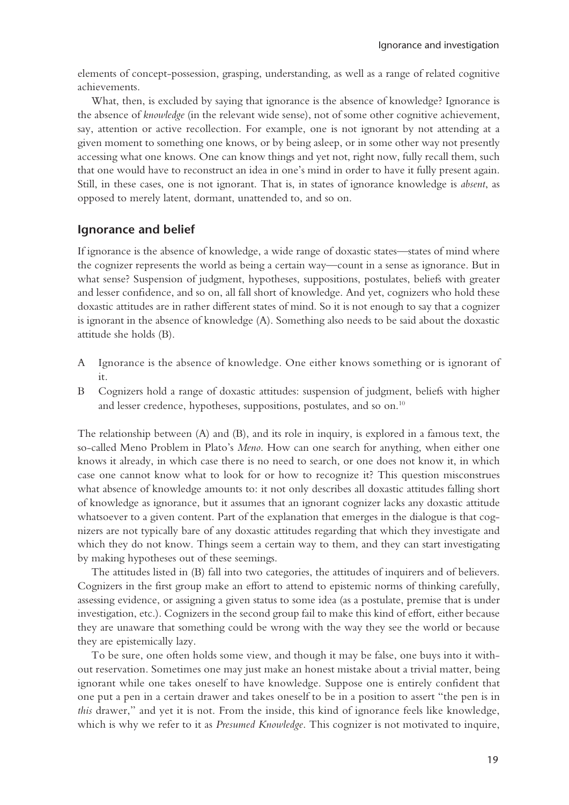<span id="page-2-0"></span>elements of concept-possession, grasping, understanding, as well as a range of related cognitive achievements.

What, then, is excluded by saying that ignorance is the absence of knowledge? Ignorance is the absence of *knowledge* (in the relevant wide sense), not of some other cognitive achievement, say, attention or active recollection. For example, one is not ignorant by not attending at a given moment to something one knows, or by being asleep, or in some other way not presently accessing what one knows. One can know things and yet not, right now, fully recall them, such that one would have to reconstruct an idea in one's mind in order to have it fully present again. Still, in these cases, one is not ignorant. That is, in states of ignorance knowledge is *absent*, as opposed to merely latent, dormant, unattended to, and so on.

## **Ignorance and belief**

If ignorance is the absence of knowledge, a wide range of doxastic states—states of mind where the cognizer represents the world as being a certain way—count in a sense as ignorance. But in what sense? Suspension of judgment, hypotheses, suppositions, postulates, beliefs with greater and lesser confidence, and so on, all fall short of knowledge. And yet, cognizers who hold these doxastic attitudes are in rather different states of mind. So it is not enough to say that a cognizer is ignorant in the absence of knowledge (A). Something also needs to be said about the doxastic attitude she holds (B).

- A Ignorance is the absence of knowledge. One either knows something or is ignorant of it.
- B Cognizers hold a range of doxastic attitudes: suspension of judgment, beliefs with higher and lesser credence, hypotheses, suppositions, postulates, and so on.<sup>[10](#page-7-0)</sup>

The relationship between (A) and (B), and its role in inquiry, is explored in a famous text, the so-called Meno Problem in Plato's *Meno*. How can one search for anything, when either one knows it already, in which case there is no need to search, or one does not know it, in which case one cannot know what to look for or how to recognize it? This question misconstrues what absence of knowledge amounts to: it not only describes all doxastic attitudes falling short of knowledge as ignorance, but it assumes that an ignorant cognizer lacks any doxastic attitude whatsoever to a given content. Part of the explanation that emerges in the dialogue is that cognizers are not typically bare of any doxastic attitudes regarding that which they investigate and which they do not know. Things seem a certain way to them, and they can start investigating by making hypotheses out of these seemings.

The attitudes listed in (B) fall into two categories, the attitudes of inquirers and of believers. Cognizers in the first group make an effort to attend to epistemic norms of thinking carefully, assessing evidence, or assigning a given status to some idea (as a postulate, premise that is under investigation, etc.). Cognizers in the second group fail to make this kind of effort, either because they are unaware that something could be wrong with the way they see the world or because they are epistemically lazy.

To be sure, one often holds some view, and though it may be false, one buys into it without reservation. Sometimes one may just make an honest mistake about a trivial matter, being ignorant while one takes oneself to have knowledge. Suppose one is entirely confident that one put a pen in a certain drawer and takes oneself to be in a position to assert "the pen is in *this* drawer," and yet it is not. From the inside, this kind of ignorance feels like knowledge, which is why we refer to it as *Presumed Knowledge*. This cognizer is not motivated to inquire,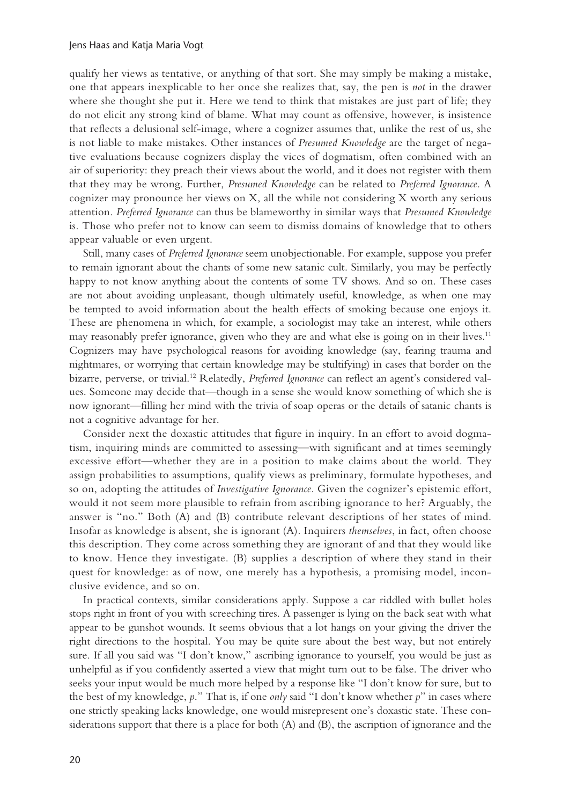<span id="page-3-0"></span>qualify her views as tentative, or anything of that sort. She may simply be making a mistake, one that appears inexplicable to her once she realizes that, say, the pen is *not* in the drawer where she thought she put it. Here we tend to think that mistakes are just part of life; they do not elicit any strong kind of blame. What may count as offensive, however, is insistence that reflects a delusional self-image, where a cognizer assumes that, unlike the rest of us, she is not liable to make mistakes. Other instances of *Presumed Knowledge* are the target of negative evaluations because cognizers display the vices of dogmatism, often combined with an air of superiority: they preach their views about the world, and it does not register with them that they may be wrong. Further, *Presumed Knowledge* can be related to *Preferred Ignorance*. A cognizer may pronounce her views on X, all the while not considering X worth any serious attention. *Preferred Ignorance* can thus be blameworthy in similar ways that *Presumed Knowledge*  is. Those who prefer not to know can seem to dismiss domains of knowledge that to others appear valuable or even urgent.

Still, many cases of *Preferred Ignorance* seem unobjectionable. For example, suppose you prefer to remain ignorant about the chants of some new satanic cult. Similarly, you may be perfectly happy to not know anything about the contents of some TV shows. And so on. These cases are not about avoiding unpleasant, though ultimately useful, knowledge, as when one may be tempted to avoid information about the health effects of smoking because one enjoys it. These are phenomena in which, for example, a sociologist may take an interest, while others may reasonably prefer ignorance, given who they are and what else is going on in their lives.<sup>11</sup> Cognizers may have psychological reasons for avoiding knowledge (say, fearing trauma and nightmares, or worrying that certain knowledge may be stultifying) in cases that border on the bizarre, perverse, or trivial[.12](#page-7-0) Relatedly, *Preferred Ignorance* can reflect an agent's considered values. Someone may decide that—though in a sense she would know something of which she is now ignorant—filling her mind with the trivia of soap operas or the details of satanic chants is not a cognitive advantage for her.

Consider next the doxastic attitudes that figure in inquiry. In an effort to avoid dogmatism, inquiring minds are committed to assessing—with significant and at times seemingly excessive effort—whether they are in a position to make claims about the world. They assign probabilities to assumptions, qualify views as preliminary, formulate hypotheses, and so on, adopting the attitudes of *Investigative Ignorance*. Given the cognizer's epistemic effort, would it not seem more plausible to refrain from ascribing ignorance to her? Arguably, the answer is "no." Both (A) and (B) contribute relevant descriptions of her states of mind. Insofar as knowledge is absent, she is ignorant (A). Inquirers *themselves*, in fact, often choose this description. They come across something they are ignorant of and that they would like to know. Hence they investigate. (B) supplies a description of where they stand in their quest for knowledge: as of now, one merely has a hypothesis, a promising model, inconclusive evidence, and so on.

In practical contexts, similar considerations apply. Suppose a car riddled with bullet holes stops right in front of you with screeching tires. A passenger is lying on the back seat with what appear to be gunshot wounds. It seems obvious that a lot hangs on your giving the driver the right directions to the hospital. You may be quite sure about the best way, but not entirely sure. If all you said was "I don't know," ascribing ignorance to yourself, you would be just as unhelpful as if you confidently asserted a view that might turn out to be false. The driver who seeks your input would be much more helped by a response like "I don't know for sure, but to the best of my knowledge, *p*." That is, if one *only* said "I don't know whether *p*" in cases where one strictly speaking lacks knowledge, one would misrepresent one's doxastic state. These considerations support that there is a place for both (A) and (B), the ascription of ignorance and the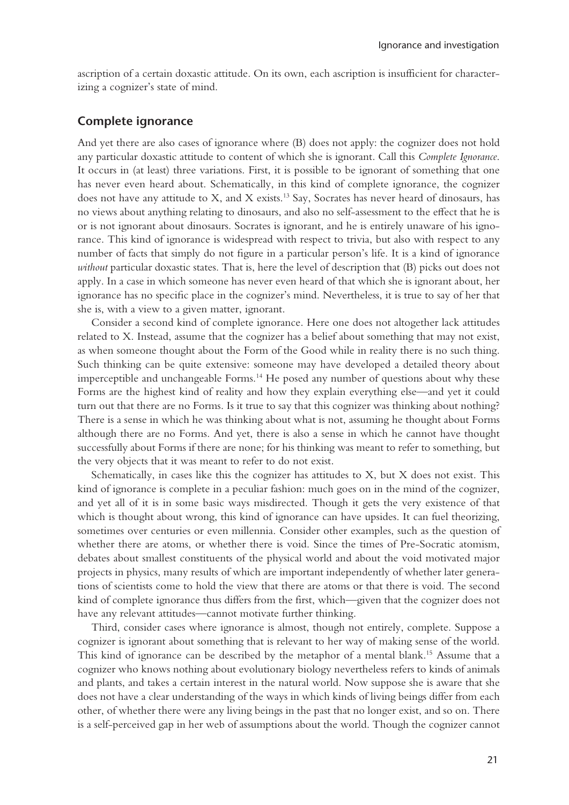<span id="page-4-0"></span>ascription of a certain doxastic attitude. On its own, each ascription is insufficient for characterizing a cognizer's state of mind.

#### **Complete ignorance**

And yet there are also cases of ignorance where (B) does not apply: the cognizer does not hold any particular doxastic attitude to content of which she is ignorant. Call this *Complete Ignorance*. It occurs in (at least) three variations. First, it is possible to be ignorant of something that one has never even heard about. Schematically, in this kind of complete ignorance, the cognizer does not have any attitude to X, and X exists[.13](#page-7-0) Say, Socrates has never heard of dinosaurs, has no views about anything relating to dinosaurs, and also no self-assessment to the effect that he is or is not ignorant about dinosaurs. Socrates is ignorant, and he is entirely unaware of his ignorance. This kind of ignorance is widespread with respect to trivia, but also with respect to any number of facts that simply do not figure in a particular person's life. It is a kind of ignorance *without* particular doxastic states. That is, here the level of description that (B) picks out does not apply. In a case in which someone has never even heard of that which she is ignorant about, her ignorance has no specific place in the cognizer's mind. Nevertheless, it is true to say of her that she is, with a view to a given matter, ignorant.

Consider a second kind of complete ignorance. Here one does not altogether lack attitudes related to X. Instead, assume that the cognizer has a belief about something that may not exist, as when someone thought about the Form of the Good while in reality there is no such thing. Such thinking can be quite extensive: someone may have developed a detailed theory about imperceptible and unchangeable Forms[.14](#page-7-0) He posed any number of questions about why these Forms are the highest kind of reality and how they explain everything else—and yet it could turn out that there are no Forms. Is it true to say that this cognizer was thinking about nothing? There is a sense in which he was thinking about what is not, assuming he thought about Forms although there are no Forms. And yet, there is also a sense in which he cannot have thought successfully about Forms if there are none; for his thinking was meant to refer to something, but the very objects that it was meant to refer to do not exist.

Schematically, in cases like this the cognizer has attitudes to X, but X does not exist. This kind of ignorance is complete in a peculiar fashion: much goes on in the mind of the cognizer, and yet all of it is in some basic ways misdirected. Though it gets the very existence of that which is thought about wrong, this kind of ignorance can have upsides. It can fuel theorizing, sometimes over centuries or even millennia. Consider other examples, such as the question of whether there are atoms, or whether there is void. Since the times of Pre-Socratic atomism, debates about smallest constituents of the physical world and about the void motivated major projects in physics, many results of which are important independently of whether later generations of scientists come to hold the view that there are atoms or that there is void. The second kind of complete ignorance thus differs from the first, which—given that the cognizer does not have any relevant attitudes—cannot motivate further thinking.

Third, consider cases where ignorance is almost, though not entirely, complete. Suppose a cognizer is ignorant about something that is relevant to her way of making sense of the world. This kind of ignorance can be described by the metaphor of a mental blank.<sup>15</sup> Assume that a cognizer who knows nothing about evolutionary biology nevertheless refers to kinds of animals and plants, and takes a certain interest in the natural world. Now suppose she is aware that she does not have a clear understanding of the ways in which kinds of living beings differ from each other, of whether there were any living beings in the past that no longer exist, and so on. There is a self-perceived gap in her web of assumptions about the world. Though the cognizer cannot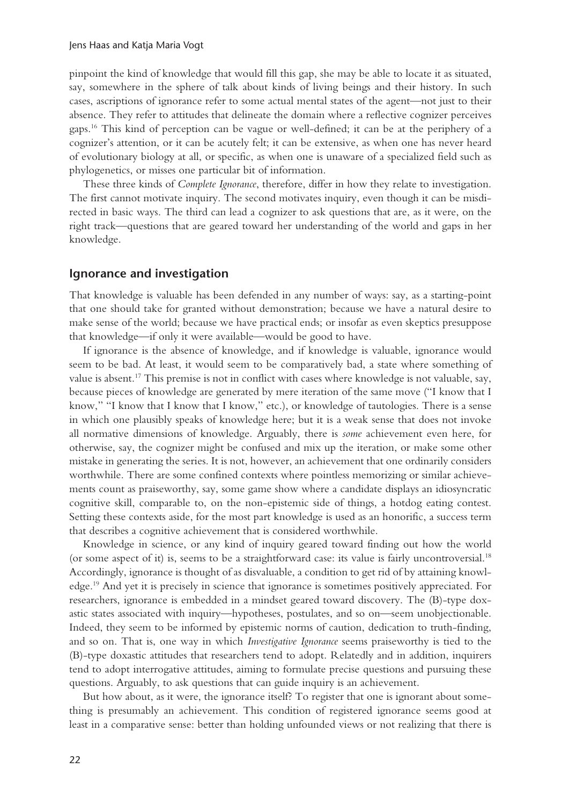<span id="page-5-0"></span>pinpoint the kind of knowledge that would fill this gap, she may be able to locate it as situated, say, somewhere in the sphere of talk about kinds of living beings and their history. In such cases, ascriptions of ignorance refer to some actual mental states of the agent—not just to their absence. They refer to attitudes that delineate the domain where a reflective cognizer perceives gaps[.16](#page-7-0) This kind of perception can be vague or well-defined; it can be at the periphery of a cognizer's attention, or it can be acutely felt; it can be extensive, as when one has never heard of evolutionary biology at all, or specific, as when one is unaware of a specialized field such as phylogenetics, or misses one particular bit of information.

These three kinds of *Complete Ignorance*, therefore, differ in how they relate to investigation. The first cannot motivate inquiry. The second motivates inquiry, even though it can be misdirected in basic ways. The third can lead a cognizer to ask questions that are, as it were, on the right track—questions that are geared toward her understanding of the world and gaps in her knowledge.

## **Ignorance and investigation**

That knowledge is valuable has been defended in any number of ways: say, as a starting-point that one should take for granted without demonstration; because we have a natural desire to make sense of the world; because we have practical ends; or insofar as even skeptics presuppose that knowledge—if only it were available—would be good to have.

If ignorance is the absence of knowledge, and if knowledge is valuable, ignorance would seem to be bad. At least, it would seem to be comparatively bad, a state where something of value is absent[.17](#page-7-0) This premise is not in conflict with cases where knowledge is not valuable, say, because pieces of knowledge are generated by mere iteration of the same move ("I know that I know," "I know that I know that I know," etc.), or knowledge of tautologies. There is a sense in which one plausibly speaks of knowledge here; but it is a weak sense that does not invoke all normative dimensions of knowledge. Arguably, there is *some* achievement even here, for otherwise, say, the cognizer might be confused and mix up the iteration, or make some other mistake in generating the series. It is not, however, an achievement that one ordinarily considers worthwhile. There are some confined contexts where pointless memorizing or similar achievements count as praiseworthy, say, some game show where a candidate displays an idiosyncratic cognitive skill, comparable to, on the non-epistemic side of things, a hotdog eating contest. Setting these contexts aside, for the most part knowledge is used as an honorific, a success term that describes a cognitive achievement that is considered worthwhile.

Knowledge in science, or any kind of inquiry geared toward finding out how the world (or some aspect of it) is, seems to be a straightforward case: its value is fairly uncontroversial.18 Accordingly, ignorance is thought of as disvaluable, a condition to get rid of by attaining knowledge.19 And yet it is precisely in science that ignorance is sometimes positively appreciated. For researchers, ignorance is embedded in a mindset geared toward discovery. The (B)-type doxastic states associated with inquiry—hypotheses, postulates, and so on—seem unobjectionable. Indeed, they seem to be informed by epistemic norms of caution, dedication to truth-finding, and so on. That is, one way in which *Investigative Ignorance* seems praiseworthy is tied to the (B)-type doxastic attitudes that researchers tend to adopt. Relatedly and in addition, inquirers tend to adopt interrogative attitudes, aiming to formulate precise questions and pursuing these questions. Arguably, to ask questions that can guide inquiry is an achievement.

But how about, as it were, the ignorance itself? To register that one is ignorant about something is presumably an achievement. This condition of registered ignorance seems good at least in a comparative sense: better than holding unfounded views or not realizing that there is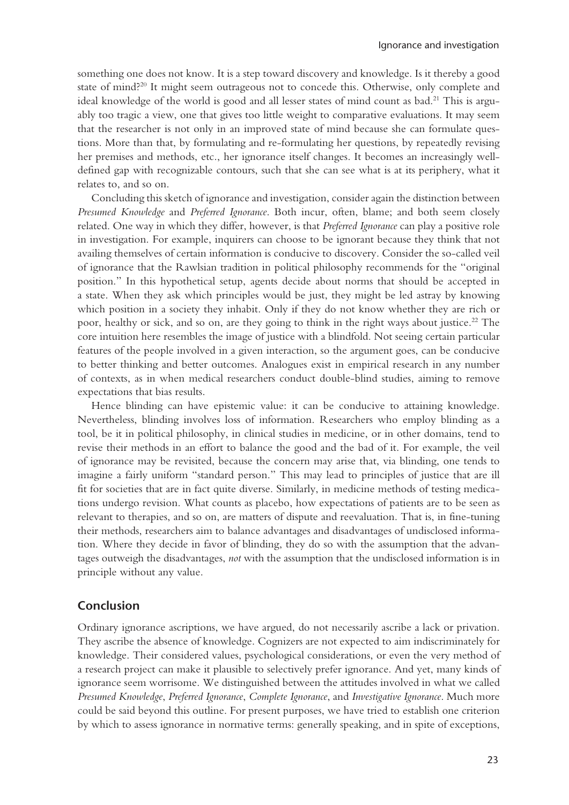something one does not know. It is a step toward discovery and knowledge. Is it thereby a good state of mind?20 It might seem outrageous not to concede this. Otherwise, only complete and ideal knowledge of the world is good and all lesser states of mind count as bad.<sup>21</sup> This is arguably too tragic a view, one that gives too little weight to comparative evaluations. It may seem that the researcher is not only in an improved state of mind because she can formulate questions. More than that, by formulating and re-formulating her questions, by repeatedly revising her premises and methods, etc., her ignorance itself changes. It becomes an increasingly welldefined gap with recognizable contours, such that she can see what is at its periphery, what it relates to, and so on.

Concluding this sketch of ignorance and investigation, consider again the distinction between *Presumed Knowledge* and *Preferred Ignorance*. Both incur, often, blame; and both seem closely related. One way in which they differ, however, is that *Preferred Ignorance* can play a positive role in investigation. For example, inquirers can choose to be ignorant because they think that not availing themselves of certain information is conducive to discovery. Consider the so-called veil of ignorance that the Rawlsian tradition in political philosophy recommends for the "original position." In this hypothetical setup, agents decide about norms that should be accepted in a state. When they ask which principles would be just, they might be led astray by knowing which position in a society they inhabit. Only if they do not know whether they are rich or poor, healthy or sick, and so on, are they going to think in the right ways about justice.<sup>22</sup> The core intuition here resembles the image of justice with a blindfold. Not seeing certain particular features of the people involved in a given interaction, so the argument goes, can be conducive to better thinking and better outcomes. Analogues exist in empirical research in any number of contexts, as in when medical researchers conduct double-blind studies, aiming to remove expectations that bias results.

Hence blinding can have epistemic value: it can be conducive to attaining knowledge. Nevertheless, blinding involves loss of information. Researchers who employ blinding as a tool, be it in political philosophy, in clinical studies in medicine, or in other domains, tend to revise their methods in an effort to balance the good and the bad of it. For example, the veil of ignorance may be revisited, because the concern may arise that, via blinding, one tends to imagine a fairly uniform "standard person." This may lead to principles of justice that are ill fit for societies that are in fact quite diverse. Similarly, in medicine methods of testing medications undergo revision. What counts as placebo, how expectations of patients are to be seen as relevant to therapies, and so on, are matters of dispute and reevaluation. That is, in fine-tuning their methods, researchers aim to balance advantages and disadvantages of undisclosed information. Where they decide in favor of blinding, they do so with the assumption that the advantages outweigh the disadvantages, *not* with the assumption that the undisclosed information is in principle without any value.

## **Conclusion**

Ordinary ignorance ascriptions, we have argued, do not necessarily ascribe a lack or privation. They ascribe the absence of knowledge. Cognizers are not expected to aim indiscriminately for knowledge. Their considered values, psychological considerations, or even the very method of a research project can make it plausible to selectively prefer ignorance. And yet, many kinds of ignorance seem worrisome. We distinguished between the attitudes involved in what we called *Presumed Knowledge*, *Preferred Ignorance*, *Complete Ignorance*, and *Investigative Ignorance*. Much more could be said beyond this outline. For present purposes, we have tried to establish one criterion by which to assess ignorance in normative terms: generally speaking, and in spite of exceptions,